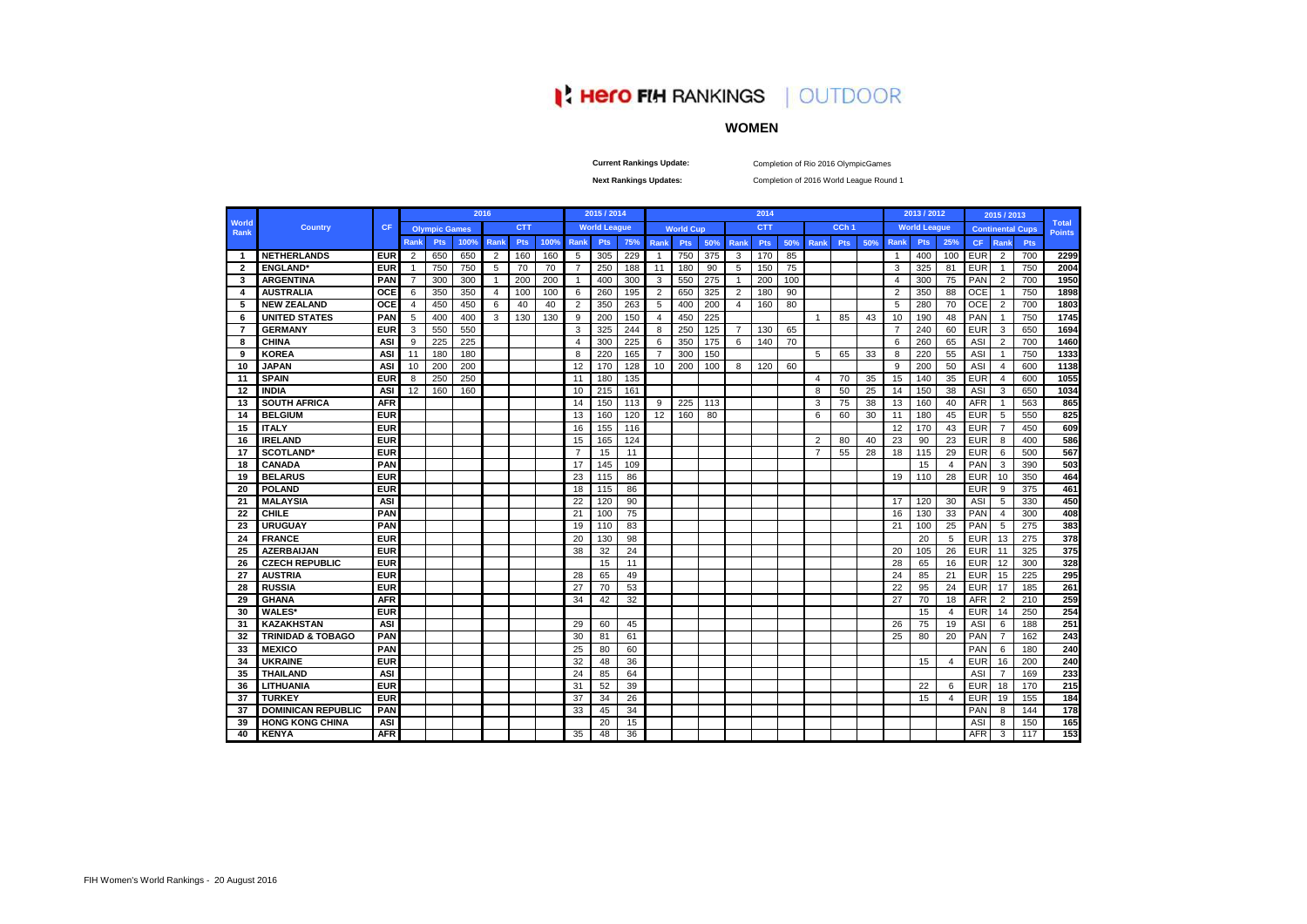# **IN HERO FIN RANKINGS | OUTDOOR**

## **WOMEN**

**Current Rankings Update:**

Completion of Rio 2016 OlympicGames

**Next Rankings Updates:** 

Completion of 2016 World League Round 1

|                      |                              |            |                |                      |      | 2016           |            |      |                | 2015 / 2014         |     |                |                  |     |                | 2014       |     |                |                  |     |                | 2013 / 2012         |                |            | 2015 / 2013    |                         |                        |
|----------------------|------------------------------|------------|----------------|----------------------|------|----------------|------------|------|----------------|---------------------|-----|----------------|------------------|-----|----------------|------------|-----|----------------|------------------|-----|----------------|---------------------|----------------|------------|----------------|-------------------------|------------------------|
| World<br><b>Rank</b> | <b>Country</b>               | <b>CF</b>  |                | <b>Olympic Games</b> |      |                | <b>CTT</b> |      |                | <b>World League</b> |     |                | <b>World Cup</b> |     |                | <b>CTT</b> |     |                | CCh <sub>1</sub> |     |                | <b>World League</b> |                |            |                | <b>Continental Cups</b> | Total<br><b>Points</b> |
|                      |                              |            | <b>Rank</b>    | Pts                  | 100% | <b>Rank</b>    | Pts        | 100% | Rank           | <b>Pts</b>          | 75% | Rank           | Pts              | 50% | Rank           | Pts        | 50% | Rank           | <b>Pts</b>       | 50% | <b>Rank</b>    | Pts                 | 25%            | CF.        | Rank           | <b>Pts</b>              |                        |
| $\mathbf{1}$         | <b>NETHERLANDS</b>           | <b>EUR</b> | 2              | 650                  | 650  | 2              | 160        | 160  | 5              | 305                 | 229 | $\overline{1}$ | 750              | 375 | 3              | 170        | 85  |                |                  |     | $\overline{1}$ | 400                 | 100            | <b>EUR</b> | 2              | 700                     |                        |
| $\overline{2}$       | <b>ENGLAND</b>               | <b>EUR</b> | $\overline{1}$ | 750                  | 750  | 5              | 70         | 70   | $\overline{7}$ | 250                 | 188 | 11             | 180              | 90  | 5              | 150        | 75  |                |                  |     | 3              | 325                 | 81             | <b>EUR</b> | $\mathbf{1}$   | 750                     |                        |
| 3                    | <b>ARGENTINA</b>             | PAN        | $\overline{7}$ | 300                  | 300  | $\overline{1}$ | 200        | 200  | $\mathbf{1}$   | 400                 | 300 | 3              | 550              | 275 | $\mathbf{1}$   | 200        | 100 |                |                  |     | $\overline{4}$ | 300                 | 75             | PAN        | 2              | 700                     |                        |
| 4                    | <b>AUSTRALIA</b>             | <b>OCE</b> | 6              | 350                  | 350  | $\overline{4}$ | 100        | 100  | 6              | 260                 | 195 | $\overline{2}$ | 650              | 325 | 2              | 180        | 90  |                |                  |     | $\overline{2}$ | 350                 | 88             | <b>OCE</b> | $\mathbf{1}$   | 750                     |                        |
| 5                    | <b>NEW ZEALAND</b>           | OCE        | $\overline{4}$ | 450                  | 450  | 6              | 40         | 40   | $\overline{2}$ | 350                 | 263 | 5              | 400              | 200 | $\overline{4}$ | 160        | 80  |                |                  |     | 5              | 280                 | 70             | <b>OCE</b> | $\overline{2}$ | 700                     |                        |
| 6                    | <b>UNITED STATES</b>         | PAN        | 5              | 400                  | 400  | 3              | 130        | 130  | 9              | 200                 | 150 | $\overline{4}$ | 450              | 225 |                |            |     | 1              | 85               | 43  | 10             | 190                 | 48             | PAN        | $\overline{1}$ | 750                     |                        |
| $\overline{7}$       | <b>GERMANY</b>               | <b>EUR</b> | 3              | 550                  | 550  |                |            |      | 3              | 325                 | 244 | 8              | 250              | 125 | $\overline{7}$ | 130        | 65  |                |                  |     | $\overline{7}$ | 240                 | 60             | <b>EUR</b> | 3              | 650                     |                        |
| 8                    | <b>CHINA</b>                 | <b>ASI</b> | 9              | 225                  | 225  |                |            |      | $\overline{4}$ | 300                 | 225 | 6              | 350              | 175 | 6              | 140        | 70  |                |                  |     | 6              | 260                 | 65             | ASI        | $\overline{2}$ | 700                     |                        |
| 9                    | <b>KOREA</b>                 | ASI        | 11             | 180                  | 180  |                |            |      | 8              | 220                 | 165 | $\overline{7}$ | 300              | 150 |                |            |     | 5              | 65               | 33  | 8              | 220                 | 55             | ASI        | $\mathbf{1}$   | 750                     |                        |
| 10                   | <b>JAPAN</b>                 | <b>ASI</b> | 10             | 200                  | 200  |                |            |      | 12             | 170                 | 128 | 10             | 200              | 100 | 8              | 120        | 60  |                |                  |     | 9              | 200                 | 50             | ASI        | $\overline{4}$ | 600                     |                        |
| 11                   | <b>SPAIN</b>                 | <b>EUR</b> | 8              | 250                  | 250  |                |            |      | 11             | 180                 | 135 |                |                  |     |                |            |     | 4              | 70               | 35  | 15             | 140                 | 35             | <b>EUR</b> | $\overline{4}$ | 600                     |                        |
| 12                   | <b>INDIA</b>                 | <b>ASI</b> | 12             | 160                  | 160  |                |            |      | 10             | 215                 | 161 |                |                  |     |                |            |     | 8              | 50               | 25  | 14             | 150                 | 38             | ASI        | 3              | 650                     |                        |
| 13                   | <b>SOUTH AFRICA</b>          | <b>AFR</b> |                |                      |      |                |            |      | 14             | 150                 | 113 | 9              | 225              | 113 |                |            |     | 3              | 75               | 38  | 13             | 160                 | 40             | <b>AFR</b> | $\mathbf{1}$   | 563                     |                        |
| 14                   | <b>BELGIUM</b>               | <b>EUR</b> |                |                      |      |                |            |      | 13             | 160                 | 120 | 12             | 160              | 80  |                |            |     | 6              | 60               | 30  | 11             | 180                 | 45             | <b>EUR</b> | 5              | 550                     |                        |
| 15                   | <b>ITALY</b>                 | <b>EUR</b> |                |                      |      |                |            |      | 16             | 155                 | 116 |                |                  |     |                |            |     |                |                  |     | 12             | 170                 | 43             | <b>EUR</b> | $\overline{7}$ | 450                     |                        |
| 16                   | <b>IRELAND</b>               | <b>EUR</b> |                |                      |      |                |            |      | 15             | 165                 | 124 |                |                  |     |                |            |     | $\overline{2}$ | 80               | 40  | 23             | 90                  | 23             | <b>EUR</b> | 8              | 400                     |                        |
| 17                   | <b>SCOTLAND*</b>             | <b>EUR</b> |                |                      |      |                |            |      | $\overline{7}$ | 15                  | 11  |                |                  |     |                |            |     | $\overline{7}$ | 55               | 28  | 18             | 115                 | 29             | <b>EUR</b> | 6              | 500                     |                        |
| 18                   | <b>CANADA</b>                | PAN        |                |                      |      |                |            |      | 17             | 145                 | 109 |                |                  |     |                |            |     |                |                  |     |                | 15                  | $\overline{4}$ | PAN        | 3              | 390                     |                        |
| 19                   | <b>BELARUS</b>               | <b>EUR</b> |                |                      |      |                |            |      | 23             | 115                 | 86  |                |                  |     |                |            |     |                |                  |     | 19             | 110                 | 28             | <b>EUR</b> | 10             | 350                     |                        |
| 20                   | <b>POLAND</b>                | <b>EUR</b> |                |                      |      |                |            |      | 18             | 115                 | 86  |                |                  |     |                |            |     |                |                  |     |                |                     |                | <b>EUR</b> | 9              | 375                     |                        |
| 21                   | <b>MALAYSIA</b>              | <b>ASI</b> |                |                      |      |                |            |      | 22             | 120                 | 90  |                |                  |     |                |            |     |                |                  |     | 17             | 120                 | 30             | ASI        | 5              | 330                     |                        |
| 22                   | <b>CHILE</b>                 | PAN        |                |                      |      |                |            |      | 21             | 100                 | 75  |                |                  |     |                |            |     |                |                  |     | 16             | 130                 | 33             | PAN        | $\overline{4}$ | 300                     |                        |
| 23                   | <b>URUGUAY</b>               | PAN        |                |                      |      |                |            |      | 19             | 110                 | 83  |                |                  |     |                |            |     |                |                  |     | 21             | 100                 | 25             | PAN        | 5              | 275                     |                        |
| 24                   | <b>FRANCE</b>                | <b>EUR</b> |                |                      |      |                |            |      | 20             | 130                 | 98  |                |                  |     |                |            |     |                |                  |     |                | 20                  | 5              | EUR        | 13             | 275                     |                        |
| 25                   | <b>AZERBAIJAN</b>            | <b>EUR</b> |                |                      |      |                |            |      | 38             | 32                  | 24  |                |                  |     |                |            |     |                |                  |     | 20             | 105                 | 26             | <b>EUR</b> | 11             | 325                     |                        |
| 26                   | <b>CZECH REPUBLIC</b>        | <b>EUR</b> |                |                      |      |                |            |      |                | 15                  | 11  |                |                  |     |                |            |     |                |                  |     | 28             | 65                  | 16             | <b>EUR</b> | 12             | 300                     |                        |
| 27                   | <b>AUSTRIA</b>               | <b>EUR</b> |                |                      |      |                |            |      | 28             | 65                  | 49  |                |                  |     |                |            |     |                |                  |     | 24             | 85                  | 21             | <b>EUR</b> | 15             | 225                     |                        |
| 28                   | <b>RUSSIA</b>                | <b>EUR</b> |                |                      |      |                |            |      | 27             | 70                  | 53  |                |                  |     |                |            |     |                |                  |     | 22             | 95                  | 24             | <b>EUR</b> | 17             | 185                     |                        |
| 29                   | <b>GHANA</b>                 | <b>AFR</b> |                |                      |      |                |            |      | 34             | 42                  | 32  |                |                  |     |                |            |     |                |                  |     | 27             | 70                  | 18             | <b>AFR</b> | $\overline{2}$ | 210                     |                        |
| 30                   | <b>WALES*</b>                | <b>EUR</b> |                |                      |      |                |            |      |                |                     |     |                |                  |     |                |            |     |                |                  |     |                | 15                  | $\overline{4}$ | <b>EUR</b> | 14             | 250                     |                        |
| 31                   | <b>KAZAKHSTAN</b>            | <b>ASI</b> |                |                      |      |                |            |      | 29             | 60                  | 45  |                |                  |     |                |            |     |                |                  |     | 26             | 75                  | 19             | ASI        | 6              | 188                     |                        |
| 32                   | <b>TRINIDAD &amp; TOBAGO</b> | PAN        |                |                      |      |                |            |      | 30             | 81                  | 61  |                |                  |     |                |            |     |                |                  |     | 25             | 80                  | 20             | PAN        | $\overline{7}$ | 162                     |                        |
| 33                   | <b>MEXICO</b>                | PAN        |                |                      |      |                |            |      | 25             | 80                  | 60  |                |                  |     |                |            |     |                |                  |     |                |                     |                | PAN        | 6              | 180                     |                        |
| 34                   | <b>UKRAINE</b>               | <b>EUR</b> |                |                      |      |                |            |      | 32             | 48                  | 36  |                |                  |     |                |            |     |                |                  |     |                | 15                  | 4              | <b>EUR</b> | 16             | 200                     |                        |
| 35                   | <b>THAILAND</b>              | <b>ASI</b> |                |                      |      |                |            |      | 24             | 85                  | 64  |                |                  |     |                |            |     |                |                  |     |                |                     |                | ASI        | $\overline{7}$ | 169                     |                        |
| 36                   | <b>LITHUANIA</b>             | <b>EUR</b> |                |                      |      |                |            |      | 31             | 52                  | 39  |                |                  |     |                |            |     |                |                  |     |                | 22                  | 6              | <b>EUR</b> | 18             | 170                     |                        |
| 37                   | <b>TURKEY</b>                | <b>EUR</b> |                |                      |      |                |            |      | 37             | 34                  | 26  |                |                  |     |                |            |     |                |                  |     |                | 15                  | 4              | <b>EUR</b> | 19             | 155                     |                        |
| 37                   | <b>DOMINICAN REPUBLIC</b>    | PAN        |                |                      |      |                |            |      | 33             | 45                  | 34  |                |                  |     |                |            |     |                |                  |     |                |                     |                | PAN        | 8              | 144                     |                        |
| 39                   | <b>HONG KONG CHINA</b>       | <b>ASI</b> |                |                      |      |                |            |      |                | 20                  | 15  |                |                  |     |                |            |     |                |                  |     |                |                     |                | ASI        | 8              | 150                     |                        |
| 40                   | <b>KENYA</b>                 | <b>AFR</b> |                |                      |      |                |            |      | 35             | 48                  | 36  |                |                  |     |                |            |     |                |                  |     |                |                     |                | <b>AFR</b> | 3              | 117                     |                        |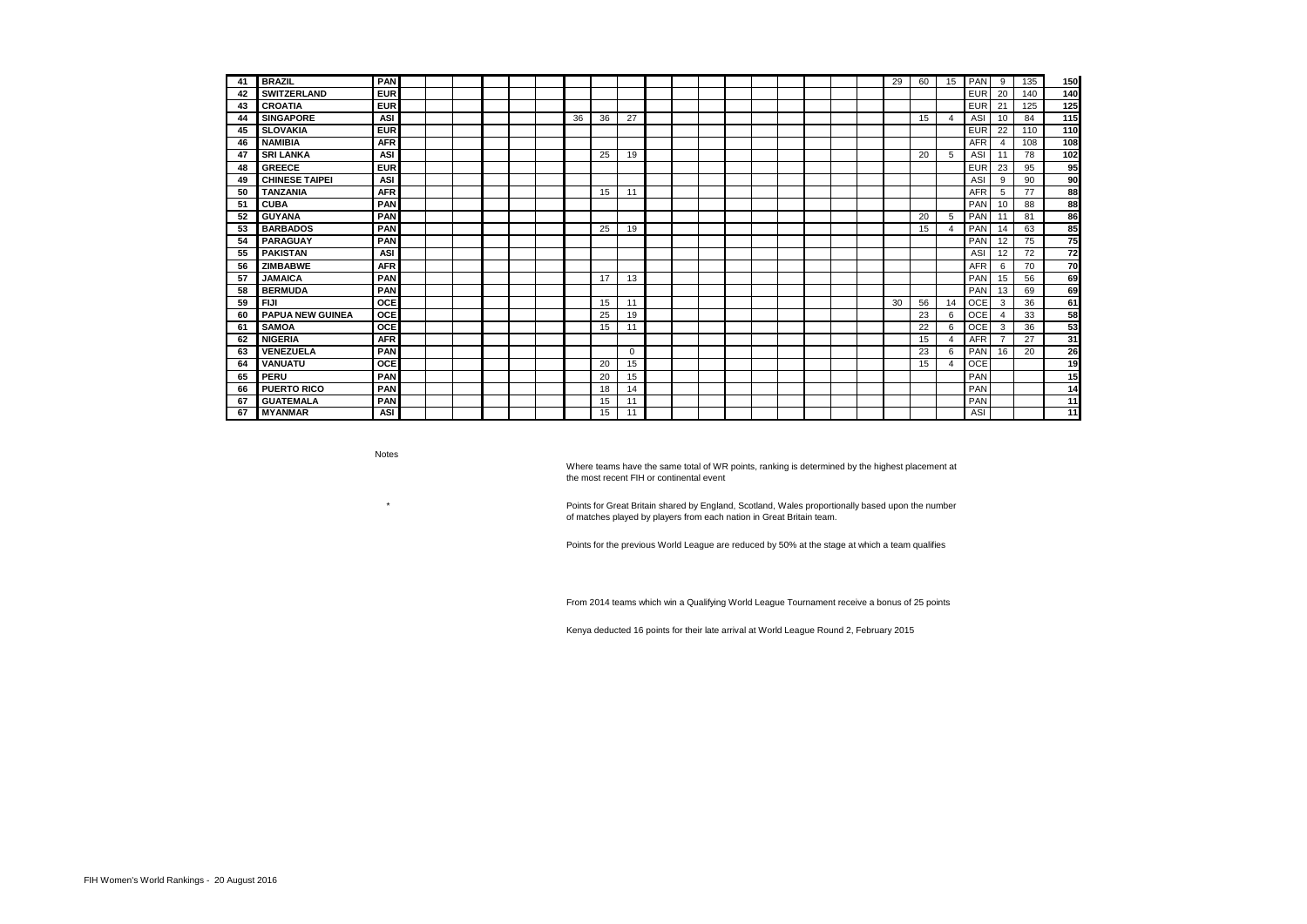| 41 | <b>BRAZIL</b>           | PAN        |  |  |    |    |          |  |  |  |  | 29 | 60 | 15             | PAN        | 9  | 135 | 150 |
|----|-------------------------|------------|--|--|----|----|----------|--|--|--|--|----|----|----------------|------------|----|-----|-----|
| 42 | <b>SWITZERLAND</b>      | <b>EUR</b> |  |  |    |    |          |  |  |  |  |    |    |                | <b>EUR</b> | 20 | 140 | 140 |
| 43 | <b>CROATIA</b>          | <b>EUR</b> |  |  |    |    |          |  |  |  |  |    |    |                | <b>EUR</b> | 21 | 125 | 125 |
| 44 | <b>SINGAPORE</b>        | ASI        |  |  | 36 | 36 | 27       |  |  |  |  |    | 15 | 4              | ASI        | 10 | 84  | 115 |
| 45 | <b>SLOVAKIA</b>         | <b>EUR</b> |  |  |    |    |          |  |  |  |  |    |    |                | <b>EUR</b> | 22 | 110 | 110 |
| 46 | <b>NAMIBIA</b>          | <b>AFR</b> |  |  |    |    |          |  |  |  |  |    |    |                | <b>AFR</b> | 4  | 108 | 108 |
| 47 | <b>SRI LANKA</b>        | ASI        |  |  |    | 25 | 19       |  |  |  |  |    | 20 | 5              | ASI        | 11 | 78  | 102 |
| 48 | <b>GREECE</b>           | <b>EUR</b> |  |  |    |    |          |  |  |  |  |    |    |                | <b>EUR</b> | 23 | 95  | 95  |
| 49 | <b>CHINESE TAIPEI</b>   | <b>ASI</b> |  |  |    |    |          |  |  |  |  |    |    |                | ASI        | 9  | 90  | 90  |
| 50 | <b>TANZANIA</b>         | <b>AFR</b> |  |  |    | 15 | 11       |  |  |  |  |    |    |                | <b>AFR</b> | 5  | 77  | 88  |
| 51 | <b>CUBA</b>             | PAN        |  |  |    |    |          |  |  |  |  |    |    |                | PAN        | 10 | 88  | 88  |
| 52 | <b>GUYANA</b>           | PAN        |  |  |    |    |          |  |  |  |  |    | 20 | 5              | PAN        | 11 | 81  | 86  |
| 53 | <b>BARBADOS</b>         | PAN        |  |  |    | 25 | 19       |  |  |  |  |    | 15 | $\overline{4}$ | PAN        | 14 | 63  | 85  |
| 54 | <b>PARAGUAY</b>         | PAN        |  |  |    |    |          |  |  |  |  |    |    |                | PAN        | 12 | 75  | 75  |
| 55 | <b>PAKISTAN</b>         | <b>ASI</b> |  |  |    |    |          |  |  |  |  |    |    |                | ASI        | 12 | 72  | 72  |
| 56 | <b>ZIMBABWE</b>         | <b>AFR</b> |  |  |    |    |          |  |  |  |  |    |    |                | <b>AFR</b> | 6  | 70  | 70  |
| 57 | <b>JAMAICA</b>          | PAN        |  |  |    | 17 | 13       |  |  |  |  |    |    |                | PAN        | 15 | 56  | 69  |
| 58 | <b>BERMUDA</b>          | PAN        |  |  |    |    |          |  |  |  |  |    |    |                | PAN        | 13 | 69  | 69  |
| 59 | <b>FIJI</b>             | OCE        |  |  |    | 15 | 11       |  |  |  |  | 30 | 56 | 14             | <b>OCE</b> | 3  | 36  | 61  |
| 60 | <b>PAPUA NEW GUINEA</b> | OCE        |  |  |    | 25 | 19       |  |  |  |  |    | 23 | 6              | <b>OCE</b> | 4  | 33  | 58  |
| 61 | <b>SAMOA</b>            | <b>OCE</b> |  |  |    | 15 | 11       |  |  |  |  |    | 22 | 6              | <b>OCE</b> | 3  | 36  | 53  |
| 62 | <b>NIGERIA</b>          | <b>AFR</b> |  |  |    |    |          |  |  |  |  |    | 15 | $\overline{4}$ | <b>AFR</b> |    | 27  | 31  |
| 63 | <b>VENEZUELA</b>        | PAN        |  |  |    |    | $\Omega$ |  |  |  |  |    | 23 | 6              | PAN        | 16 | 20  | 26  |
| 64 | VANUATU                 | OCE        |  |  |    | 20 | 15       |  |  |  |  |    | 15 | 4              | <b>OCE</b> |    |     | 19  |
| 65 | <b>PERU</b>             | PAN        |  |  |    | 20 | 15       |  |  |  |  |    |    |                | PAN        |    |     | 15  |
| 66 | <b>PUERTO RICO</b>      | PAN        |  |  |    | 18 | 14       |  |  |  |  |    |    |                | PAN        |    |     | 14  |
| 67 | <b>GUATEMALA</b>        | PAN        |  |  |    | 15 | 11       |  |  |  |  |    |    |                | PAN        |    |     | 11  |
| 67 | <b>MYANMAR</b>          | ASI        |  |  |    | 15 | 11       |  |  |  |  |    |    |                | ASI        |    |     | 11  |

Notes

\*

Where teams have the same total of WR points, ranking is determined by the highest placement at the most recent FIH or continental event

Points for Great Britain shared by England, Scotland, Wales proportionally based upon the number of matches played by players from each nation in Great Britain team.

Points for the previous World League are reduced by 50% at the stage at which a team qualifies

From 2014 teams which win a Qualifying World League Tournament receive a bonus of 25 points

Kenya deducted 16 points for their late arrival at World League Round 2, February 2015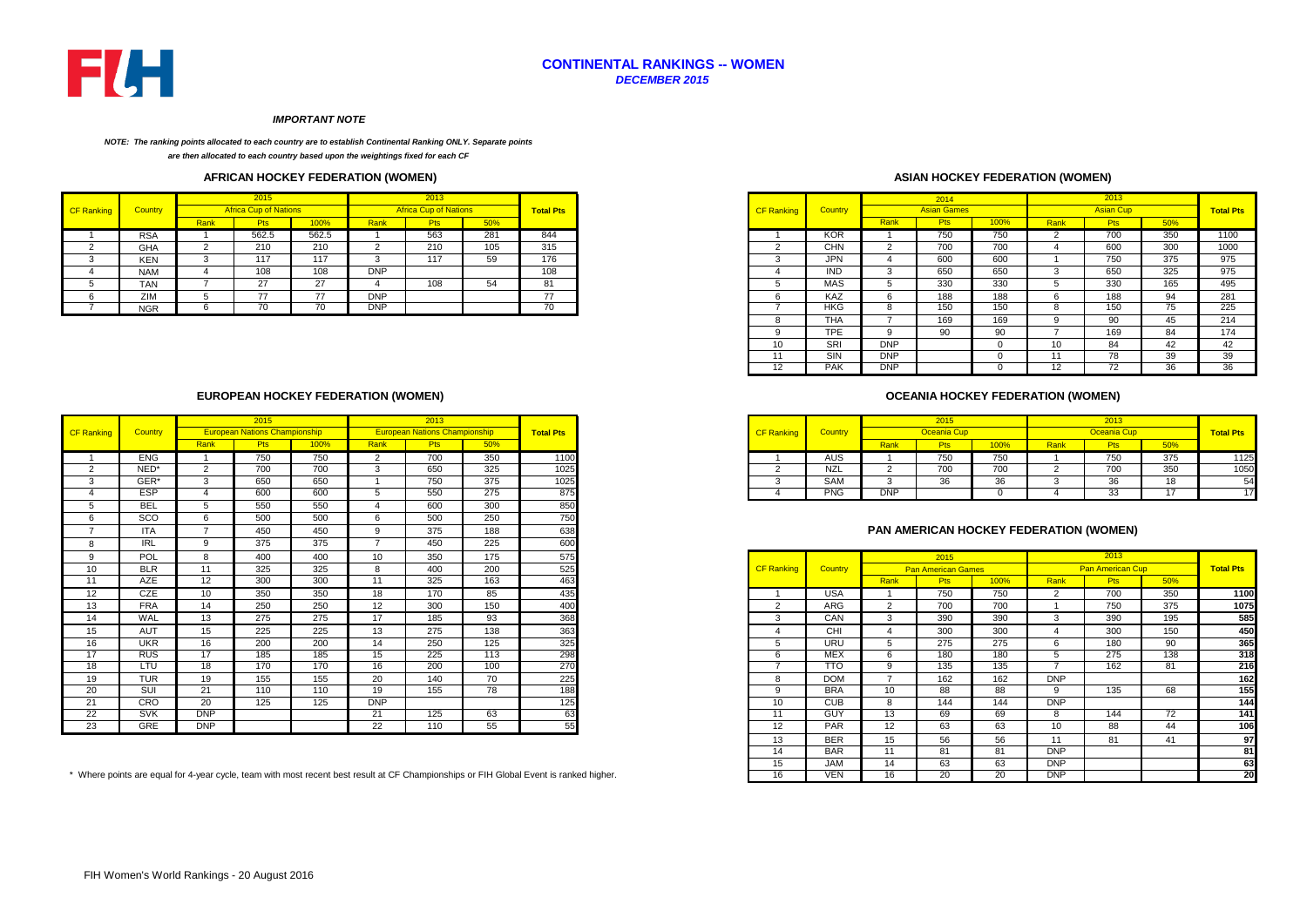

## **CONTINENTAL RANKINGS -- WOMEN** *DECEMBER 2015*

#### *IMPORTANT NOTE*

#### *NOTE: The ranking points allocated to each country are to establish Continental Ranking ONLY. Separate points*

*are then allocated to each country based upon the weightings fixed for each CF* 

### **AFRICAN HOCKEY FEDERATION (WOMEN)**

|                   |                |      | 2015                         |       |            | 2013                         |     |                  |
|-------------------|----------------|------|------------------------------|-------|------------|------------------------------|-----|------------------|
| <b>CF Ranking</b> | <b>Country</b> |      | <b>Africa Cup of Nations</b> |       |            | <b>Africa Cup of Nations</b> |     | <b>Total Pts</b> |
|                   |                | Rank | <b>Pts</b>                   | 100%  | Rank       | <b>Pts</b>                   | 50% |                  |
|                   | <b>RSA</b>     |      | 562.5                        | 562.5 |            | 563                          | 281 | 844              |
|                   | GHA            |      | 210                          | 210   |            | 210                          | 105 | 315              |
|                   | KEN            |      | 117                          | 117   | - 3        | 117                          | 59  | 176              |
|                   | <b>NAM</b>     |      | 108                          | 108   | <b>DNP</b> |                              |     | 108              |
|                   | <b>TAN</b>     |      | 27                           | 27    |            | 108                          | 54  | 81               |
|                   | ZIM            |      | 77                           | 77    | <b>DNP</b> |                              |     | 77               |
|                   | <b>NGR</b>     |      | 70                           | 70    | <b>DNP</b> |                              |     | 70               |
|                   |                |      |                              |       |            |                              |     |                  |

### **EUROPEAN HOCKEY FEDERATION (WOMEN)**

|                   |            |            | 2015                                 |      |                | 2013                                 |     |                  |
|-------------------|------------|------------|--------------------------------------|------|----------------|--------------------------------------|-----|------------------|
| <b>CF Ranking</b> | Country    |            | <b>European Nations Championship</b> |      |                | <b>European Nations Championship</b> |     | <b>Total Pts</b> |
|                   |            | Rank       | <b>Pts</b>                           | 100% | Rank           | <b>Pts</b>                           | 50% |                  |
|                   | <b>ENG</b> |            | 750                                  | 750  | 2              | 700                                  | 350 | 1100             |
| 2                 | NED*       | 2          | 700                                  | 700  | 3              | 650                                  | 325 | 1025             |
| 3                 | GER*       | 3          | 650                                  | 650  |                | 750                                  | 375 | 1025             |
|                   | <b>ESP</b> | Δ          | 600                                  | 600  | 5              | 550                                  | 275 | 875              |
|                   | <b>BEL</b> | 5          | 550                                  | 550  |                | 600                                  | 300 | 850              |
|                   | SCO        | 6          | 500                                  | 500  | 6              | 500                                  | 250 | 750              |
|                   | <b>ITA</b> |            | 450                                  | 450  | 9              | 375                                  | 188 | 638              |
|                   | <b>IRL</b> | 9          | 375                                  | 375  | $\overline{z}$ | 450                                  | 225 | 600              |
| Q                 | POL        | 8          | 400                                  | 400  | 10             | 350                                  | 175 | 575              |
| 10                | <b>BLR</b> | 11         | 325                                  | 325  | 8              | 400                                  | 200 | 525              |
| 11                | <b>AZE</b> | 12         | 300                                  | 300  | 11             | 325                                  | 163 | 463              |
| $12 \overline{ }$ | <b>CZE</b> | 10         | 350                                  | 350  | 18             | 170                                  | 85  | 435              |
| 13                | <b>FRA</b> | 14         | 250                                  | 250  | 12             | 300                                  | 150 | 400              |
| 14                | WAL        | 13         | 275                                  | 275  | 17             | 185                                  | 93  | 368              |
| 15                | <b>AUT</b> | 15         | 225                                  | 225  | 13             | 275                                  | 138 | 363              |
| 16                | <b>UKR</b> | 16         | 200                                  | 200  | 14             | 250                                  | 125 | 325              |
| 17                | <b>RUS</b> | 17         | 185                                  | 185  | 15             | 225                                  | 113 | 298              |
| 18                | LTU        | 18         | 170                                  | 170  | 16             | 200                                  | 100 | 270              |
| 19                | <b>TUR</b> | 19         | 155                                  | 155  | 20             | 140                                  | 70  | 225              |
| 20                | SUI        | 21         | 110                                  | 110  | 19             | 155                                  | 78  | 188              |
| 21                | CRO        | 20         | 125                                  | 125  | <b>DNP</b>     |                                      |     | 125              |
| 22                | <b>SVK</b> | <b>DNP</b> |                                      |      | 21             | 125                                  | 63  | 63               |
| 23                | <b>GRE</b> | <b>DNP</b> |                                      |      | 22             | 110                                  | 55  | 55               |

## **ASIAN HOCKEY FEDERATION (WOMEN)**

|        |            |      | 2015                         |       |            | 2013                         |     |                  |                   |                |            | 2014               |      |        | 2013             |     |                  |
|--------|------------|------|------------------------------|-------|------------|------------------------------|-----|------------------|-------------------|----------------|------------|--------------------|------|--------|------------------|-----|------------------|
| ankina | Country    |      | <b>Africa Cup of Nations</b> |       |            | <b>Africa Cup of Nations</b> |     | <b>Total Pts</b> | <b>CF Ranking</b> | <b>Country</b> |            | <b>Asian Games</b> |      |        | <b>Asian Cup</b> |     | <b>Total Pts</b> |
|        |            | Rank | <b>Pts</b>                   | 100%  | Rank       | <b>Pts</b>                   | 50% |                  |                   |                | Rank       | <b>Pts</b>         | 100% | Rank   | <b>Pts</b>       | 50% |                  |
|        | <b>RSA</b> |      | 562.5                        | 562.5 |            | 563                          | 281 | 844              |                   | KOR            |            | 750                | 750  |        | 700              | 350 | 1100             |
|        | <b>GHA</b> |      | 210                          | 210   |            | 210                          | 105 | 315              |                   | <b>CHN</b>     |            | 700                | 700  |        | 600              | 300 | 1000             |
|        | <b>KEN</b> |      | 117                          | 117   |            | 117                          | 59  | 176              |                   | <b>JPN</b>     |            | 600                | 600  |        | 750              | 375 | 975              |
|        | <b>NAM</b> |      | 108                          | 108   | <b>DNP</b> |                              |     | 108              |                   | <b>IND</b>     |            | 650                | 650  |        | 650              | 325 | 975              |
|        | <b>TAN</b> |      | 27                           | 27    |            | 108                          | 54  | 81               |                   | MAS            |            | 330                | 330  |        | 330              | 165 | 495              |
|        | ZIM        |      | 77                           | 77    | <b>DNP</b> |                              |     | 77               |                   | <b>KAZ</b>     |            | 188                | 188  |        | 188              | 94  | 281              |
|        | <b>NGR</b> |      | 70                           | 70    | <b>DNP</b> |                              |     | 70               |                   | <b>HKG</b>     | - 63       | 150                | 150  | $\sim$ | 150              | 75  | 225              |
|        |            |      |                              |       |            |                              |     |                  |                   | <b>THA</b>     |            | 169                | 169  |        | 90               | 45  | 214              |
|        |            |      |                              |       |            |                              |     |                  |                   | <b>TPE</b>     |            | 90                 | 90   |        | 169              | 84  | 174              |
|        |            |      |                              |       |            |                              |     |                  | 10                | SRI            | <b>DNP</b> |                    | -0   | 10     | 84               | 42  | 42               |
|        |            |      |                              |       |            |                              |     |                  | $\overline{A}$    | SIN            | <b>DNP</b> |                    | -U   | 11     | 78               | 39  | 39               |
|        |            |      |                              |       |            |                              |     |                  | 12                | <b>PAK</b>     | <b>DNP</b> |                    |      |        | 72               | 36  | 36               |

### **OCEANIA HOCKEY FEDERATION (WOMEN)**

|         |            |                                      |      |      |                                      |     |                  |                   |            |                    |                      |              |      | 2013     |                   |                  |
|---------|------------|--------------------------------------|------|------|--------------------------------------|-----|------------------|-------------------|------------|--------------------|----------------------|--------------|------|----------|-------------------|------------------|
| Country |            | <b>European Nations Championship</b> |      |      | <b>European Nations Championship</b> |     | <b>Total Pts</b> | <b>CF Ranking</b> | Country    |                    | Oceania Cuj          |              |      |          |                   | <b>Total Pts</b> |
|         |            |                                      | 100% | Rank | w                                    | 50% |                  |                   |            | <b><u>xank</u></b> |                      | 100%         | Rank |          |                   |                  |
|         | <b>ENG</b> | 750                                  | 750  |      | 700                                  | 350 | 1100             |                   | AUS        |                    | 750<br>7 JU          | 750          |      | 750      | 375               |                  |
|         | NED*       | 700<br>טט ו                          | 700  |      | 650                                  | 325 | 1025             |                   | NZL        |                    | $\sim$ $\sim$<br>100 | 700          |      | 700      | 350<br>ບບບ        |                  |
|         | GER*       | 650                                  | 650  |      | 750                                  | 375 | 1025             |                   | SAM        |                    | 26                   | $\sim$<br>ახ |      |          | $\sqrt{2}$<br>10. |                  |
|         | <b>ESP</b> | 600                                  | 600  |      | 550                                  | 275 | 875              |                   | <b>PNG</b> | DNP                |                      |              |      | ົ<br>ن ب |                   |                  |

### **PAN AMERICAN HOCKEY FEDERATION (WOMEN)**

|                | POL        |            | 400                                                                                                                                 | 400 | 10         | 350 | 175 | 575 |                   |                         |                 | 2015                      |      |            | 2013                    |     |                  |
|----------------|------------|------------|-------------------------------------------------------------------------------------------------------------------------------------|-----|------------|-----|-----|-----|-------------------|-------------------------|-----------------|---------------------------|------|------------|-------------------------|-----|------------------|
| 10             | <b>BLR</b> | 11         | 325                                                                                                                                 | 325 | 8          | 400 | 200 | 525 | <b>CF Ranking</b> | Country                 |                 | <b>Pan American Games</b> |      |            | <b>Pan American Cup</b> |     | <b>Total Pts</b> |
| $\overline{A}$ | <b>AZE</b> | 12         | 300                                                                                                                                 | 300 | 11         | 325 | 163 | 463 |                   |                         | <b>Rank</b>     | <b>Pts</b>                | 100% | Rank       | <b>Pts</b>              | 50% |                  |
| 12             | CZE        | 10         | 350                                                                                                                                 | 350 | 18         | 170 | 85  | 435 |                   | <b>USA</b>              |                 | 750                       | 750  |            | 700                     | 350 | 1100             |
| 13             | <b>FRA</b> | 14         | 250                                                                                                                                 | 250 | 12         | 300 | 150 | 400 |                   | <b>ARG</b>              |                 | 700                       | 700  |            | 750                     | 375 | 1075             |
| 14             | WAL        | 13         | 275                                                                                                                                 | 275 | 17         | 185 | 93  | 368 |                   | CAN                     |                 | 390                       | 390  |            | 390                     | 195 | 585              |
| 15             | AUT        | 15         | 225                                                                                                                                 | 225 | 13         | 275 | 138 | 363 |                   | CHI                     |                 | 300                       | 300  |            | 300                     | 150 | 450              |
| 16             | <b>UKR</b> | 16         | 200                                                                                                                                 | 200 | 14         | 250 | 125 | 325 |                   | <b>URU</b>              |                 | 275                       | 275  | 6          | 180                     | 90  | 365              |
| 17             | <b>RUS</b> | 17         | 185                                                                                                                                 | 185 | 15         | 225 | 113 | 298 | h                 | <b>MEX</b>              | 6               | 180                       | 180  |            | 275                     | 138 | 318              |
| 18             | LTU        | 18         | 170                                                                                                                                 | 170 | 16         | 200 | 100 | 270 |                   | $\overline{\text{tto}}$ |                 | 135                       | 135  |            | 162                     | 81  | 216              |
| 19             | <b>TUR</b> | 19         | 155                                                                                                                                 | 155 | 20         | 140 | 70  | 225 | 8                 | <b>DOM</b>              |                 | 162                       | 162  | <b>DNP</b> |                         |     | 162              |
| 20             | SUI        | 21         | 110                                                                                                                                 | 110 | 19         | 155 | 78  | 188 | Q                 | <b>BRA</b>              | 10 <sup>°</sup> | 88                        | 88   |            | 135                     | 68  | 155              |
|                | CRO        | 20         | 125                                                                                                                                 | 125 | <b>DNP</b> |     |     | 125 | 10                | <b>CUB</b>              | 8               | 144                       | 144  | <b>DNP</b> |                         |     | 144              |
| 22             | SVK        | <b>DNP</b> |                                                                                                                                     |     | 21         | 125 | 63  | 63  | 11                | <b>GUY</b>              | 13              | 69                        | 69   | 8          | 144                     | 72  | 141              |
| 23             | GRE        | <b>DNP</b> |                                                                                                                                     |     | 22         | 110 | 55  | 55  | 12                | <b>PAR</b>              | 12              | 63                        | 63   | 10         | 88                      | 44  | 106              |
|                |            |            |                                                                                                                                     |     |            |     |     |     | 13                | <b>BER</b>              | 15              | 56                        | 56   |            | 81                      | 41  | 97               |
|                |            |            |                                                                                                                                     |     |            |     |     |     | 14                | <b>BAR</b>              | 11              | 81                        | 81   | <b>DNP</b> |                         |     | 81               |
|                |            |            |                                                                                                                                     |     |            |     |     |     | 15                | <b>JAM</b>              | 14              | 63                        | 63   | <b>DNP</b> |                         |     | 63               |
|                |            |            | here points are equal for 4-year cycle, team with most recent best result at CF Championships or FIH Global Event is ranked higher. |     |            |     |     |     | 16                | <b>VEN</b>              | 16              | 20                        | 20   | <b>DNP</b> |                         |     | 20               |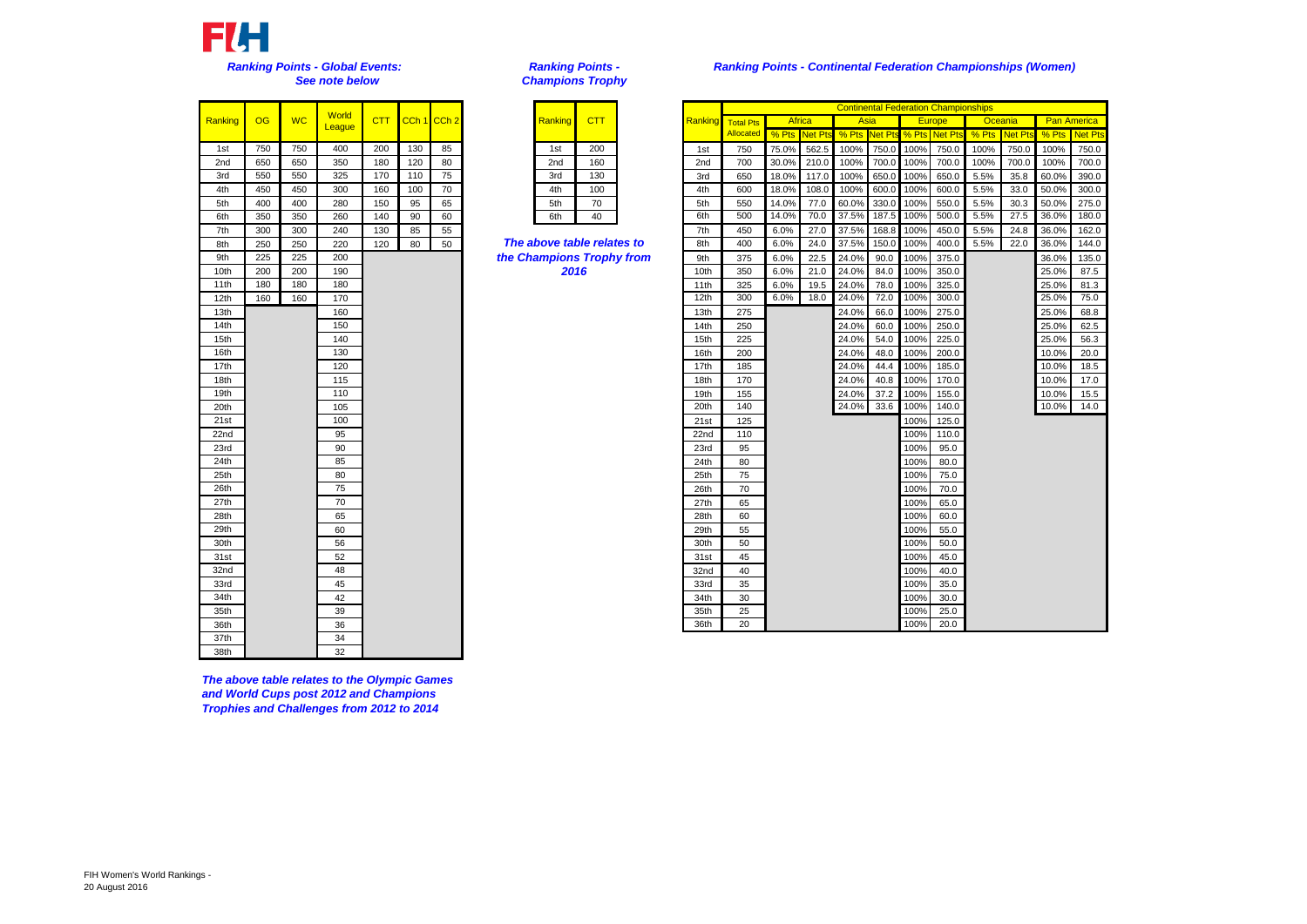

| Ranking | OG  | <b>WC</b> | <b>World</b><br>League | <b>CTT</b> | CCh <sub>1</sub> | $\overline{C}$ |
|---------|-----|-----------|------------------------|------------|------------------|----------------|
| 1st     | 750 | 750       | 400                    | 200        | 130              |                |
| 2nd     | 650 | 650       | 350                    | 180        | 120              |                |
| 3rd     | 550 | 550       | 325                    | 170        | 110              |                |
| 4th     | 450 | 450       | 300                    | 160        | 100              |                |
| 5th     | 400 | 400       | 280                    | 150        | 95               |                |
| 6th     | 350 | 350       | 260                    | 140        | 90               |                |
| 7th     | 300 | 300       | 240                    | 130        | 85               |                |
| 8th     | 250 | 250       | 220                    | 120        | 80               |                |
| 9th     | 225 | 225       | 200                    |            |                  |                |
| 10th    | 200 | 200       | 190                    |            |                  |                |
| 11th    | 180 | 180       | 180                    |            |                  |                |
| 12th    | 160 | 160       | 170                    |            |                  |                |
| 13th    |     |           | 160                    |            |                  |                |
| 14th    |     |           | 150                    |            |                  |                |
| 15th    |     |           | 140                    |            |                  |                |
| 16th    |     |           | 130                    |            |                  |                |
| 17th    |     |           | 120                    |            |                  |                |
| 18th    |     |           | 115                    |            |                  |                |
| 19th    |     |           | 110                    |            |                  |                |
| 20th    |     |           | 105                    |            |                  |                |
| 21st    |     |           | 100                    |            |                  |                |
| 22nd    |     |           | 95                     |            |                  |                |
| 23rd    |     |           | 90                     |            |                  |                |
| 24th    |     |           | 85                     |            |                  |                |
| 25th    |     |           | 80                     |            |                  |                |
| 26th    |     |           | 75                     |            |                  |                |
| 27th    |     |           | 70                     |            |                  |                |
| 28th    |     |           | 65                     |            |                  |                |
| 29th    |     |           | 60                     |            |                  |                |
| 30th    |     |           | 56                     |            |                  |                |
| 31st    |     |           | 52                     |            |                  |                |
| 32nd    |     |           | 48                     |            |                  |                |
| 33rd    |     |           | 45                     |            |                  |                |
| 34th    |     |           | 42                     |            |                  |                |
| 35th    |     |           | 39                     |            |                  |                |
| 36th    |     |           | 36                     |            |                  |                |
| 37th    |     |           | 34                     |            |                  |                |
| 38th    |     |           | 32                     |            |                  |                |

*The above table relates to the Olympic Games and World Cups post 2012 and Champions Trophies and Challenges from 2012 to 2014*

*Ranking Points - Champions Trophy*

| Ranking         | CTT |  |
|-----------------|-----|--|
| 1st             | 200 |  |
| 2 <sub>nd</sub> | 160 |  |
| 3rd             | 130 |  |
| 4th             | 100 |  |
| 5th             | 70  |  |
| 6th             | 40  |  |

|                 |     |           |                 |            |             |    |                            |         |     |         |                  |               |         |       |                |       | <b>Continental Federation Championships</b> |         |         |                    |                |
|-----------------|-----|-----------|-----------------|------------|-------------|----|----------------------------|---------|-----|---------|------------------|---------------|---------|-------|----------------|-------|---------------------------------------------|---------|---------|--------------------|----------------|
| anking          | OG  | <b>WC</b> | World<br>League | <b>CTT</b> | CCh 1 CCh 2 |    |                            | Ranking | CTT | Ranking | <b>Total Pts</b> | <b>Africa</b> |         | Asia  |                |       | <b>Europe</b>                               | Oceania |         | <b>Pan America</b> |                |
|                 |     |           |                 |            |             |    |                            |         |     |         | Allocated        | % Pts         | Net Pts | % Pts | <b>Net Pts</b> | % Pts | Net Pt:                                     | % Pts   | Net Pt: | % Pts              | <b>Net Pts</b> |
| 1st             | 750 | 750       | 400             | 200        | 130         | 85 |                            | 1st     | 200 | 1st     | 750              | 75.0%         | 562.5   | 100%  | 750.0          | 100%  | 750.0                                       | 100%    | 750.0   | 100%               | 750.0          |
| 2 <sub>nd</sub> | 650 | 650       | 350             | 180        | 120         | 80 |                            | 2nd     | 160 | 2nd     | 700              | 30.0%         | 210.0   | 100%  | 700.0          | 100%  | 700.0                                       | 100%    | 700.0   | 100%               | 700.0          |
| 3rd             | 550 | 550       | 325             | 170        | 110         | 75 |                            | 3rd     | 130 | 3rd     | 650              | 18.0%         | 117.0   | 100%  | 650.0          | 100%  | 650.0                                       | 5.5%    | 35.8    | 60.0%              | 390.0          |
| 4th             | 450 | 450       | 300             | 160        | 100         | 70 |                            | 4th     | 100 | 4th     | 600              | 18.0%         | 108.0   | 100%  | 600.0          | 100%  | 600.0                                       | 5.5%    | 33.0    | 50.0%              | 300.0          |
| 5th             | 400 | 400       | 280             | 150        | 95          | 65 |                            | 5th     | 70  | 5th     | 550              | 14.0%         | 77.0    | 60.0% | 330.0          | 100%  | 550.0                                       | 5.5%    | 30.3    | 50.0%              | 275.0          |
| 6th             | 350 | 350       | 260             | 140        | 90          | 60 |                            | 6th     | 40  | 6th     | 500              | 14.0%         | 70.0    | 37.5% | 187.5          | 100%  | 500.0                                       | 5.5%    | 27.5    | 36.0%              | 180.0          |
| 7th             | 300 | 300       | 240             | 130        | 85          | 55 |                            |         |     | 7th     | 450              | 6.0%          | 27.0    | 37.5% | 168.8          | 100%  | 450.0                                       | 5.5%    | 24.8    | 36.0%              | 162.0          |
| 8th             | 250 | 250       | 220             | 120        | 80          | 50 | The above table relates to |         |     | 8th     | 400              | 6.0%          | 24.0    | 37.5% | 150.0          | 100%  | 400.0                                       | 5.5%    | 22.0    | 36.0%              | 144.0          |
| 9th             | 225 | 225       | 200             |            |             |    | the Champions Trophy from  |         |     | 9th     | 375              | 6.0%          | 22.5    | 24.0% | 90.0           | 100%  | 375.0                                       |         |         | 36.0%              | 135.0          |
| 10th            | 200 | 200       | 190             |            |             |    |                            | 2016    |     | 10th    | 350              | 6.0%          | 21.0    | 24.0% | 84.0           | 100%  | 350.0                                       |         |         | 25.0%              | 87.5           |
| 11th            | 180 | 180       | 180             |            |             |    |                            |         |     | 11th    | 325              | 6.0%          | 19.5    | 24.0% | 78.0           | 100%  | 325.0                                       |         |         | 25.0%              | 81.3           |
| 12th            | 160 | 160       | 170             |            |             |    |                            |         |     | 12th    | 300              | 6.0%          | 18.0    | 24.0% | 72.0           | 100%  | 300.0                                       |         |         | 25.0%              | 75.0           |
| 13th            |     |           | 160             |            |             |    |                            |         |     | 13th    | 275              |               |         | 24.0% | 66.0           | 100%  | 275.0                                       |         |         | 25.0%              | 68.8           |
| 14th            |     |           | 150             |            |             |    |                            |         |     | 14th    | 250              |               |         | 24.0% | 60.0           | 100%  | 250.0                                       |         |         | 25.0%              | 62.5           |
| 15th            |     |           | 140             |            |             |    |                            |         |     | 15th    | 225              |               |         | 24.0% | 54.0           | 100%  | 225.0                                       |         |         | 25.0%              | 56.3           |
| 16th            |     |           | 130             |            |             |    |                            |         |     | 16th    | 200              |               |         | 24.0% | 48.0           | 100%  | 200.0                                       |         |         | 10.0%              | 20.0           |
| 17th            |     |           | 120             |            |             |    |                            |         |     | 17th    | 185              |               |         | 24.0% | 44.4           | 100%  | 185.0                                       |         |         | 10.0%              | 18.5           |
| 18th            |     |           | 115             |            |             |    |                            |         |     | 18th    | 170              |               |         | 24.0% | 40.8           | 100%  | 170.0                                       |         |         | 10.0%              | 17.0           |
| 19th            |     |           | 110             |            |             |    |                            |         |     | 19th    | 155              |               |         | 24.0% | 37.2           | 100%  | 155.0                                       |         |         | 10.0%              | 15.5           |
| 20th            |     |           | 105             |            |             |    |                            |         |     | 20th    | 140              |               |         | 24.0% | 33.6           | 100%  | 140.0                                       |         |         | 10.0%              | 14.0           |
| 21st            |     |           | 100             |            |             |    |                            |         |     | 21st    | 125              |               |         |       |                | 100%  | 125.0                                       |         |         |                    |                |
| 22nd            |     |           | 95              |            |             |    |                            |         |     | 22nd    | 110              |               |         |       |                | 100%  | 110.0                                       |         |         |                    |                |
| 23rd            |     |           | 90              |            |             |    |                            |         |     | 23rd    | 95               |               |         |       |                | 100%  | 95.0                                        |         |         |                    |                |
| 24th            |     |           | 85              |            |             |    |                            |         |     | 24th    | 80               |               |         |       |                | 100%  | 80.0                                        |         |         |                    |                |
| 25th            |     |           | 80              |            |             |    |                            |         |     | 25th    | 75               |               |         |       |                | 100%  | 75.0                                        |         |         |                    |                |
| 26th            |     |           | 75              |            |             |    |                            |         |     | 26th    | 70               |               |         |       |                | 100%  | 70.0                                        |         |         |                    |                |
| 27th            |     |           | 70              |            |             |    |                            |         |     | 27th    | 65               |               |         |       |                | 100%  | 65.0                                        |         |         |                    |                |
| 28th            |     |           | 65              |            |             |    |                            |         |     | 28th    | 60               |               |         |       |                | 100%  | 60.0                                        |         |         |                    |                |
| 29th            |     |           | 60              |            |             |    |                            |         |     | 29th    | 55               |               |         |       |                | 100%  | 55.0                                        |         |         |                    |                |
| 30th            |     |           | 56              |            |             |    |                            |         |     | 30th    | 50               |               |         |       |                | 100%  | 50.0                                        |         |         |                    |                |
| 31st            |     |           | 52              |            |             |    |                            |         |     | 31st    | 45               |               |         |       |                | 100%  | 45.0                                        |         |         |                    |                |
| 32nd            |     |           | 48              |            |             |    |                            |         |     | 32nd    | 40               |               |         |       |                | 100%  | 40.0                                        |         |         |                    |                |
| 33rd            |     |           | 45              |            |             |    |                            |         |     | 33rd    | 35               |               |         |       |                | 100%  | 35.0                                        |         |         |                    |                |
| 34th            |     |           | 42              |            |             |    |                            |         |     | 34th    | 30               |               |         |       |                | 100%  | 30.0                                        |         |         |                    |                |
| 35th            |     |           | 39              |            |             |    |                            |         |     | 35th    | 25               |               |         |       |                | 100%  | 25.0                                        |         |         |                    |                |
| 36th            |     |           | 36              |            |             |    |                            |         |     | 36th    | 20               |               |         |       |                | 100%  | 20.0                                        |         |         |                    |                |

# *Ranking Points - Continental Federation Championships (Women)*